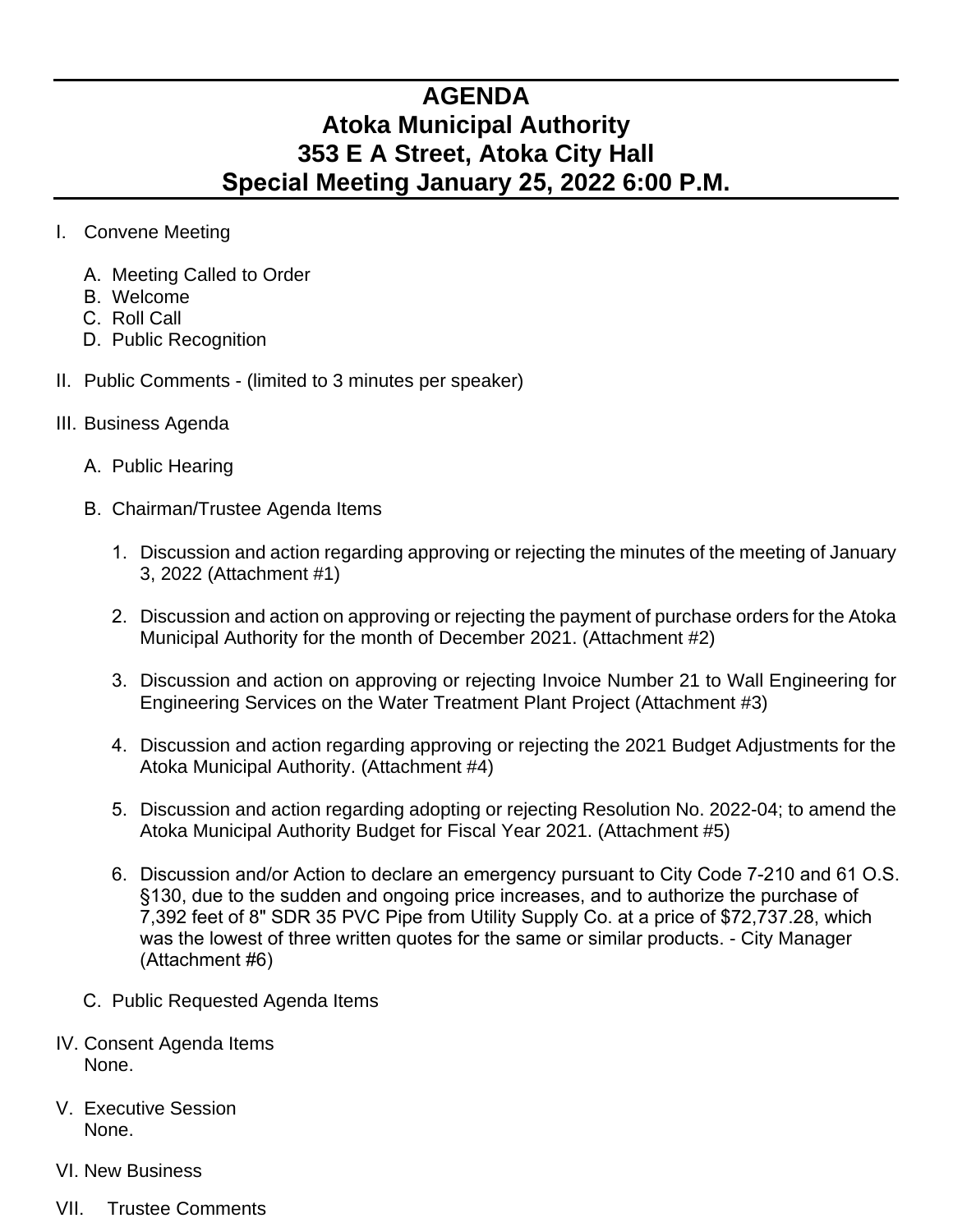## **AGENDA Atoka Municipal Authority 353 E A Street, Atoka City Hall Special Meeting January 25, 2022 6:00 P.M.**

- I. Convene Meeting
	- A. Meeting Called to Order
	- B. Welcome
	- C. Roll Call
	- D. Public Recognition
- II. Public Comments (limited to 3 minutes per speaker)
- III. Business Agenda
	- A. Public Hearing
	- B. Chairman/Trustee Agenda Items
		- 1. Discussion and action regarding approving or rejecting the minutes of the meeting of January 3, 2022 (Attachment #1)
		- 2. Discussion and action on approving or rejecting the payment of purchase orders for the Atoka Municipal Authority for the month of December 2021. (Attachment #2)
		- 3. Discussion and action on approving or rejecting Invoice Number 21 to Wall Engineering for Engineering Services on the Water Treatment Plant Project (Attachment #3)
		- 4. Discussion and action regarding approving or rejecting the 2021 Budget Adjustments for the Atoka Municipal Authority. (Attachment #4)
		- 5. Discussion and action regarding adopting or rejecting Resolution No. 2022-04; to amend the Atoka Municipal Authority Budget for Fiscal Year 2021. (Attachment #5)
		- 6. Discussion and/or Action to declare an emergency pursuant to City Code 7-210 and 61 O.S. §130, due to the sudden and ongoing price increases, and to authorize the purchase of 7,392 feet of 8" SDR 35 PVC Pipe from Utility Supply Co. at a price of \$72,737.28, which was the lowest of three written quotes for the same or similar products. - City Manager (Attachment #6)
	- C. Public Requested Agenda Items
- IV. Consent Agenda Items None.
- V. Executive Session None.
- VI. New Business
- VII. Trustee Comments